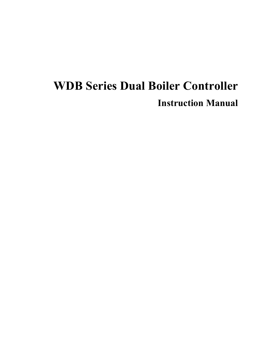# **WDB Series Dual Boiler Controller Instruction Manual**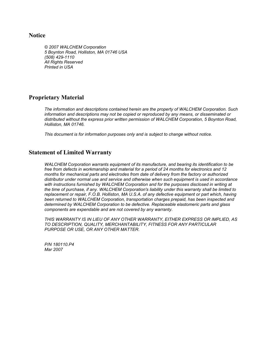#### **Notice**

*© 2007 WALCHEM Corporation 5 Boynton Road, Holliston, MA 01746 USA (508) 429-1110 All Rights Reserved Printed in USA*

#### **Proprietary Material**

*The information and descriptions contained herein are the property of WALCHEM Corporation. Such information and descriptions may not be copied or reproduced by any means, or disseminated or distributed without the express prior written permission of WALCHEM Corporation, 5 Boynton Road, Holliston, MA 01746.* 

*This document is for information purposes only and is subject to change without notice.* 

#### **Statement of Limited Warranty**

*WALCHEM Corporation warrants equipment of its manufacture, and bearing its identification to be free from defects in workmanship and material for a period of 24 months for electronics and 12 months for mechanical parts and electrodes from date of delivery from the factory or authorized distributor under normal use and service and otherwise when such equipment is used in accordance*  with instructions furnished by WALCHEM Corporation and for the purposes disclosed in writing at *the time of purchase, if any. WALCHEM Corporation's liability under this warranty shall be limited to replacement or repair, F.O.B. Holliston, MA U.S.A. of any defective equipment or part which, having been returned to WALCHEM Corporation, transportation charges prepaid, has been inspected and determined by WALCHEM Corporation to be defective. Replaceable elastomeric parts and glass components are expendable and are not covered by any warranty.* 

*THIS WARRANTY IS IN LIEU OF ANY OTHER WARRANTY, EITHER EXPRESS OR IMPLIED, AS TO DESCRIPTION, QUALITY, MERCHANTABILITY, FITNESS FOR ANY PARTICULAR PURPOSE OR USE, OR ANY OTHER MATTER.* 

*P/N 180110.P4 Mar 2007*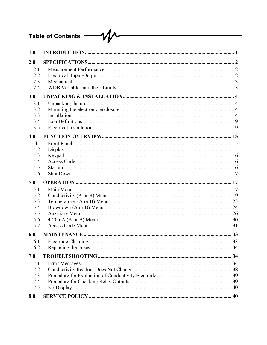## Table of Contents - VV

| 1.0                                           |  |
|-----------------------------------------------|--|
| 2.0                                           |  |
| 2.1<br>2.2<br>2.3<br>2.4                      |  |
| 3.0                                           |  |
| 3.1<br>3.2<br>3.3<br>3.4<br>3.5               |  |
| 4.0                                           |  |
| 4.1<br>4.2<br>4.3<br>4.4<br>4.5<br>4.6        |  |
| 5.0                                           |  |
| 5.1<br>5.2<br>5.3<br>5.4<br>5.5<br>5.6<br>5.7 |  |
| 6.0                                           |  |
| 6.1<br>6.2                                    |  |
| 7.0                                           |  |
| 7.1<br>7.2<br>7.3<br>7.4<br>7.5               |  |
| 8.0                                           |  |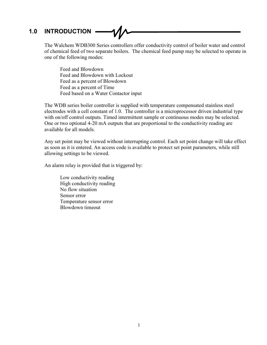## **1.0 INTRODUCTION**

The Walchem WDB300 Series controllers offer conductivity control of boiler water and control of chemical feed of two separate boilers. The chemical feed pump may be selected to operate in one of the following modes:

 Feed and Blowdown Feed and Blowdown with Lockout Feed as a percent of Blowdown Feed as a percent of Time Feed based on a Water Contactor input

The WDB series boiler controller is supplied with temperature compensated stainless steel electrodes with a cell constant of 1.0. The controller is a microprocessor driven industrial type with on/off control outputs. Timed intermittent sample or continuous modes may be selected. One or two optional 4-20 mA outputs that are proportional to the conductivity reading are available for all models.

Any set point may be viewed without interrupting control. Each set point change will take effect as soon as it is entered. An access code is available to protect set point parameters, while still allowing settings to be viewed.

An alarm relay is provided that is triggered by:

 Low conductivity reading High conductivity reading No flow situation Sensor error Temperature sensor error Blowdown timeout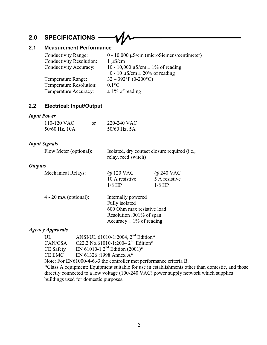## **2.0 SPECIFICATIONS**

## **2.1 Measurement Performance**

| $0 - 10,000 \mu S/cm$ (microSiemens/centimeter) |
|-------------------------------------------------|
| $1 \mu S/cm$                                    |
| 10 - 10,000 $\mu$ S/cm $\pm$ 1% of reading      |
| $0 - 10 \mu S/cm \pm 20\%$ of reading           |
| $32 - 392$ °F (0-200°C)                         |
| $0.1$ °C                                        |
| $\pm$ 1% of reading                             |
|                                                 |

## **2.2 Electrical: Input/Output**

## *Input Power*

| 110-120 VAC   | or | 220-240 VAC      |
|---------------|----|------------------|
| 50/60 Hz, 10A |    | $50/60$ Hz, $5A$ |

## *Input Signals*

| Flow Meter (optional): | Isolated, dry contact closure required (i.e., |
|------------------------|-----------------------------------------------|
|                        | relay, reed switch)                           |

### *Outputs*

| @ 120 VAC      | @ 240 VAC     |
|----------------|---------------|
| 10 A resistive | 5 A resistive |
| $1/8$ HP       | $1/8$ HP      |
|                |               |

| Internally powered           |
|------------------------------|
| Fully isolated               |
| 600 Ohm max resistive load   |
| Resolution .001% of span     |
| Accuracy $\pm$ 1% of reading |
|                              |

## *Agency Approvals*

| UL                                                                                              | ANSI/UL 61010-1:2004, 2 <sup>nd</sup> Edition* |  |  |
|-------------------------------------------------------------------------------------------------|------------------------------------------------|--|--|
| CAN/CSA                                                                                         | C22,2 No.61010-1:2004 $2^{nd}$ Edition*        |  |  |
| <b>CE</b> Safety                                                                                | EN 61010-1 $2^{nd}$ Edition (2001)*            |  |  |
| <b>CE EMC</b>                                                                                   | EN 61326 :1998 Annex A*                        |  |  |
| Note: For EN61000-4-6,-3 the controller met performance criteria B.                             |                                                |  |  |
| *Class A equipment: Equipment suitable for use in establishments other than domestic, and those |                                                |  |  |
| directly connected to a low voltage (100-240 VAC) power supply network which supplies           |                                                |  |  |
| buildings used for domestic purposes.                                                           |                                                |  |  |
|                                                                                                 |                                                |  |  |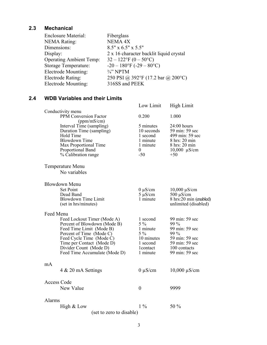### **2.3 Mechanical**

| <b>Enclosure Material:</b>     | Fiberglass                              |
|--------------------------------|-----------------------------------------|
| <b>NEMA Rating:</b>            | <b>NEMA 4X</b>                          |
| Dimensions:                    | $8.5" \times 6.5" \times 5.5"$          |
| Display:                       | 2 x 16 character backlit liquid crystal |
| <b>Operating Ambient Temp:</b> | $32 - 122$ °F (0 – 50°C)                |
| Storage Temperature:           | $-20 - 180$ °F ( $-29 - 80$ °C)         |
| Electrode Mounting:            | $\frac{3}{4}$ " NPTM                    |
| Electrode Rating:              | 250 PSI @ 392°F (17.2 bar @ 200°C)      |
| Electrode Mounting:            | 316SS and PEEK                          |

### **2.4 WDB Variables and their Limits**

|                    |                                                                                                                                                                                      | Low Limit                                                                        | <b>High Limit</b>                                                                                                  |
|--------------------|--------------------------------------------------------------------------------------------------------------------------------------------------------------------------------------|----------------------------------------------------------------------------------|--------------------------------------------------------------------------------------------------------------------|
|                    | Conductivity menu<br>PPM Conversion Factor                                                                                                                                           | 0.200                                                                            | 1.000                                                                                                              |
|                    | (ppm/mS/cm)<br>Interval Time (sampling)<br>Duration Time (sampling)<br><b>Hold Time</b><br><b>Blowdown Time</b><br>Max Proportional Time<br>Proportional Band<br>% Calibration range | 5 minutes<br>10 seconds<br>1 second<br>1 minute<br>1 minute<br>$\theta$<br>$-50$ | $24:00$ hours<br>59 min: 59 sec<br>499 min: 59 sec<br>8 hrs: 20 min<br>8 hrs: 20 min<br>$10,000 \mu S/cm$<br>$+50$ |
|                    | Temperature Menu                                                                                                                                                                     |                                                                                  |                                                                                                                    |
|                    | No variables                                                                                                                                                                         |                                                                                  |                                                                                                                    |
|                    | <b>Blowdown Menu</b>                                                                                                                                                                 |                                                                                  |                                                                                                                    |
|                    | <b>Set Point</b><br>Dead Band                                                                                                                                                        | $0 \mu S/cm$<br>$5 \mu$ S/cm                                                     | $10,000 \,\mu S/cm$<br>$500 \mu S/cm$                                                                              |
|                    | <b>Blowdown Time Limit</b>                                                                                                                                                           | 1 minute                                                                         | 8 hrs:20 min (enabled)                                                                                             |
|                    | (set in hrs/minutes)                                                                                                                                                                 |                                                                                  | unlimited (disabled)                                                                                               |
| Feed Menu          | Feed Lockout Timer (Mode A)<br>Percent of Blowdown (Mode B)<br>Feed Time Limit (Mode B)<br>Percent of Time (Mode C)                                                                  | 1 second<br>$5\%$<br>1 minute<br>$5\%$                                           | 99 min: 59 sec<br>99 %<br>99 min: 59 sec<br>99 %                                                                   |
|                    | Feed Cycle Time (Mode C)<br>Time per Contact (Mode D)                                                                                                                                | 10 minutes<br>1 second                                                           | 59 min: 59 sec<br>59 min: 59 sec                                                                                   |
|                    | Divider Count (Mode D)<br>Feed Time Accumulate (Mode D)                                                                                                                              | <i>l</i> contact<br>1 minute                                                     | 100 contacts<br>99 min: 59 sec                                                                                     |
|                    |                                                                                                                                                                                      |                                                                                  |                                                                                                                    |
| mA                 |                                                                                                                                                                                      |                                                                                  |                                                                                                                    |
|                    | $4 \& 20 \text{ mA}$ Settings                                                                                                                                                        | $0 \mu S/cm$                                                                     | $10,000 \mu S/cm$                                                                                                  |
| <b>Access Code</b> |                                                                                                                                                                                      |                                                                                  |                                                                                                                    |
|                    | <b>New Value</b>                                                                                                                                                                     | $\theta$                                                                         | 9999                                                                                                               |
| Alarms             |                                                                                                                                                                                      |                                                                                  |                                                                                                                    |
|                    | High & Low                                                                                                                                                                           | $1\%$                                                                            | 50 %                                                                                                               |
|                    | (set to zero to disable)                                                                                                                                                             |                                                                                  |                                                                                                                    |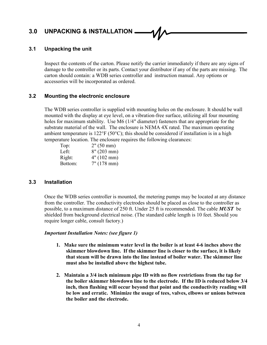## **3.0 UNPACKING & INSTALLATION**

#### **3.1 Unpacking the unit**

Inspect the contents of the carton. Please notify the carrier immediately if there are any signs of damage to the controller or its parts. Contact your distributor if any of the parts are missing. The carton should contain: a WDB series controller and instruction manual. Any options or accessories will be incorporated as ordered.

#### **3.2 Mounting the electronic enclosure**

The WDB series controller is supplied with mounting holes on the enclosure. It should be wall mounted with the display at eye level, on a vibration-free surface, utilizing all four mounting holes for maximum stability. Use M6 (1/4" diameter) fasteners that are appropriate for the substrate material of the wall. The enclosure is NEMA 4X rated. The maximum operating ambient temperature is  $122^{\circ}F(50^{\circ}C)$ ; this should be considered if installation is in a high temperature location. The enclosure requires the following clearances:

| $2^{\prime\prime}$ (50 mm) |
|----------------------------|
| $8''(203)$ mm)             |
| 4" (102 mm)                |
| 7" (178 mm)                |
|                            |

#### **3.3 Installation**

Once the WDB series controller is mounted, the metering pumps may be located at any distance from the controller. The conductivity electrodes should be placed as close to the controller as possible, to a maximum distance of 250 ft. Under 25 ft is recommended. The cable *MUST* be shielded from background electrical noise. (The standard cable length is 10 feet. Should you require longer cable, consult factory.)

#### *Important Installation Notes: (see figure 1)*

- **1. Make sure the minimum water level in the boiler is at least 4-6 inches above the skimmer blowdown line. If the skimmer line is closer to the surface, it is likely that steam will be drawn into the line instead of boiler water. The skimmer line must also be installed above the highest tube.**
- **2. Maintain a 3/4 inch minimum pipe ID with no flow restrictions from the tap for the boiler skimmer blowdown line to the electrode. If the ID is reduced below 3/4 inch, then flashing will occur beyond that point and the conductivity reading will be low and erratic. Minimize the usage of tees, valves, elbows or unions between the boiler and the electrode.**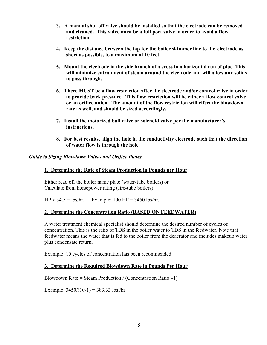- **3. A manual shut off valve should be installed so that the electrode can be removed and cleaned. This valve must be a full port valve in order to avoid a flow restriction.**
- **4. Keep the distance between the tap for the boiler skimmer line to the electrode as short as possible, to a maximum of 10 feet.**
- **5. Mount the electrode in the side branch of a cross in a horizontal run of pipe. This will minimize entrapment of steam around the electrode and will allow any solids to pass through.**
- **6. There MUST be a flow restriction after the electrode and/or control valve in order to provide back pressure. This flow restriction will be either a flow control valve or an orifice union. The amount of the flow restriction will effect the blowdown rate as well, and should be sized accordingly.**
- **7.** Install the motorized ball valve or solenoid valve per the manufacturer's **instructions.**
- **8. For best results, align the hole in the conductivity electrode such that the direction of water flow is through the hole.**

#### *Guide to Sizing Blowdown Valves and Orifice Plates*

#### **1. Determine the Rate of Steam Production in Pounds per Hour**

Either read off the boiler name plate (water-tube boilers) or Calculate from horsepower rating (fire-tube boilers):

HP x  $34.5 = \frac{1}{5}$  = lbs/hr. Example: 100 HP = 3450 lbs/hr.

#### **2. Determine the Concentration Ratio (BASED ON FEEDWATER)**

A water treatment chemical specialist should determine the desired number of cycles of concentration. This is the ratio of TDS in the boiler water to TDS in the feedwater. Note that feedwater means the water that is fed to the boiler from the deaerator and includes makeup water plus condensate return.

Example: 10 cycles of concentration has been recommended

#### **3. Determine the Required Blowdown Rate in Pounds Per Hour**

Blowdown Rate = Steam Production / (Concentration Ratio  $-1$ )

Example:  $3450/(10-1) = 383.33$  lbs./hr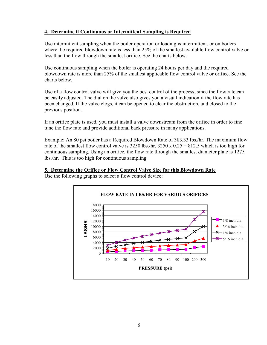#### **4. Determine if Continuous or Intermittent Sampling is Required**

Use intermittent sampling when the boiler operation or loading is intermittent, or on boilers where the required blowdown rate is less than 25% of the smallest available flow control valve or less than the flow through the smallest orifice. See the charts below.

Use continuous sampling when the boiler is operating 24 hours per day and the required blowdown rate is more than 25% of the smallest applicable flow control valve or orifice. See the charts below.

Use of a flow control valve will give you the best control of the process, since the flow rate can be easily adjusted. The dial on the valve also gives you a visual indication if the flow rate has been changed. If the valve clogs, it can be opened to clear the obstruction, and closed to the previous position.

If an orifice plate is used, you must install a valve downstream from the orifice in order to fine tune the flow rate and provide additional back pressure in many applications.

Example: An 80 psi boiler has a Required Blowdown Rate of 383.33 lbs./hr. The maximum flow rate of the smallest flow control valve is 3250 lbs./hr.  $3250 \times 0.25 = 812.5$  which is too high for continuous sampling. Using an orifice, the flow rate through the smallest diameter plate is 1275 lbs./hr. This is too high for continuous sampling.

#### **5. Determine the Orifice or Flow Control Valve Size for this Blowdown Rate**



Use the following graphs to select a flow control device: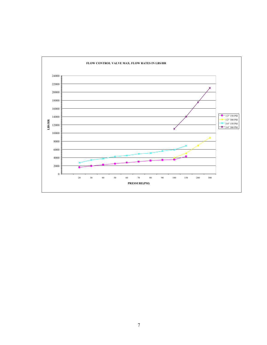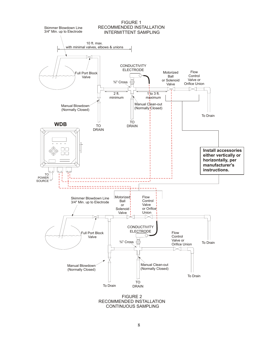

CONTINUOUS SAMPLING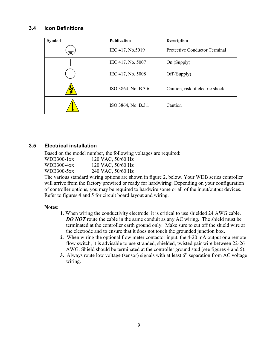#### **3.4 Icon Definitions**

| <b>Symbol</b> | Publication         | <b>Description</b>                   |
|---------------|---------------------|--------------------------------------|
| 专             | IEC 417, No.5019    | <b>Protective Conductor Terminal</b> |
|               | IEC 417, No. 5007   | On (Supply)                          |
|               | IEC 417, No. 5008   | Off (Supply)                         |
|               | ISO 3864, No. B.3.6 | Caution, risk of electric shock      |
|               | ISO 3864, No. B.3.1 | Caution                              |

#### **3.5 Electrical installation**

Based on the model number, the following voltages are required:

| WDB300-1xx | 120 VAC, 50/60 Hz |
|------------|-------------------|
| WDB300-4xx | 120 VAC, 50/60 Hz |
| WDB300-5xx | 240 VAC, 50/60 Hz |

The various standard wiring options are shown in figure 2, below. Your WDB series controller will arrive from the factory prewired or ready for hardwiring. Depending on your configuration of controller options, you may be required to hardwire some or all of the input/output devices. Refer to figures 4 and 5 for circuit board layout and wiring.

#### **Notes**:

- **1**. When wiring the conductivity electrode, it is critical to use shielded 24 AWG cable. *DO NOT* route the cable in the same conduit as any AC wiring. The shield must be terminated at the controller earth ground only. Make sure to cut off the shield wire at the electrode and to ensure that it does not touch the grounded junction box.
- **2**. When wiring the optional flow meter contactor input, the 4-20 mA output or a remote flow switch, it is advisable to use stranded, shielded, twisted pair wire between 22-26 AWG. Shield should be terminated at the controller ground stud (see figures 4 and 5).
- **3.** Always route low voltage (sensor) signals with at least 6" separation from AC voltage wiring.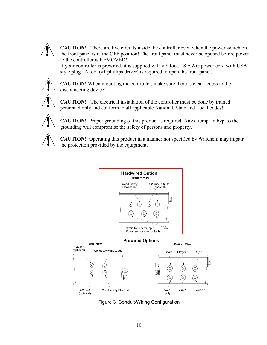

**CAUTION!** There are live circuits inside the controller even when the power switch on the front panel is in the OFF position! The front panel must never be opened before power to the controller is REMOVED!

If your controller is prewired, it is supplied with a 8 foot, 18 AWG power cord with USA style plug. A tool (#1 phillips driver) is required to open the front panel.



**CAUTION!** When mounting the controller, make sure there is clear access to the disconnecting device!



**CAUTION!** The electrical installation of the controller must be done by trained personnel only and conform to all applicable National, State and Local codes!



**CAUTION!** Proper grounding of this product is required. Any attempt to bypass the grounding will compromise the safety of persons and property.



**CAUTION!** Operating this product in a manner not specified by Walchem may impair the protection provided by the equipment.



Figure 3 Conduit/Wiring Configuration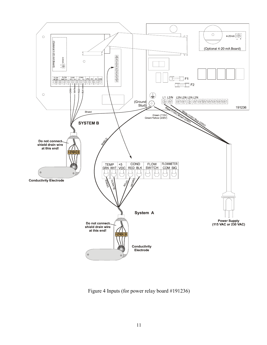

Figure 4 Inputs (for power relay board #191236)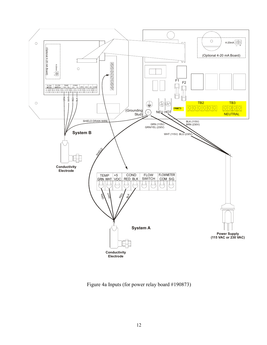

Figure 4a Inputs (for power relay board #190873)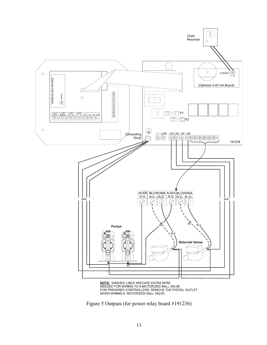

FOR PREWIRED CONTROLLERS, REMOVE THE PIGTAIL OUTLET<br>WHEN WIRING A MOTORIZED BALL VALVE.

Figure 5 Outputs (for power relay board #191236)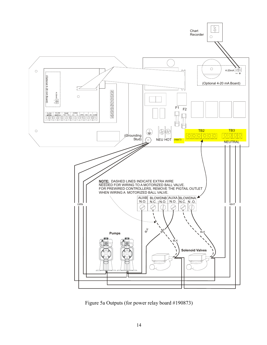

Figure 5a Outputs (for power relay board #190873)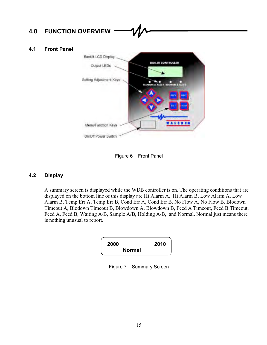## **4.0 FUNCTION OVERVIEW**

#### **4.1 Front Panel**



Figure 6 Front Panel

#### **4.2 Display**

A summary screen is displayed while the WDB controller is on. The operating conditions that are displayed on the bottom line of this display are Hi Alarm A, Hi Alarm B, Low Alarm A, Low Alarm B, Temp Err A, Temp Err B, Cond Err A, Cond Err B, No Flow A, No Flow B, Blodown Timeout A, Blodown Timeout B, Blowdown A, Blowdown B, Feed A Timeout, Feed B Timeout, Feed A, Feed B, Waiting A/B, Sample A/B, Holding A/B, and Normal. Normal just means there is nothing unusual to report.



Figure 7 Summary Screen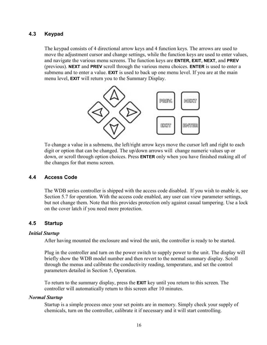#### **4.3 Keypad**

The keypad consists of 4 directional arrow keys and 4 function keys. The arrows are used to move the adjustment cursor and change settings, while the function keys are used to enter values, and navigate the various menu screens. The function keys are **ENTER, EXIT, NEXT**, and **PREV** (previous). **NEXT** and **PREV** scroll through the various menu choices. **ENTER** is used to enter a submenu and to enter a value. **EXIT** is used to back up one menu level. If you are at the main menu level, **EXIT** will return you to the Summary Display.



To change a value in a submenu, the left/right arrow keys move the cursor left and right to each digit or option that can be changed. The up/down arrows will change numeric values up or down, or scroll through option choices. Press **ENTER** only when you have finished making all of the changes for that menu screen.

#### **4.4 Access Code**

The WDB series controller is shipped with the access code disabled. If you wish to enable it, see Section 5.7 for operation. With the access code enabled, any user can view parameter settings, but not change them. Note that this provides protection only against casual tampering. Use a lock on the cover latch if you need more protection.

#### **4.5 Startup**

#### *Initial Startup*

After having mounted the enclosure and wired the unit, the controller is ready to be started.

Plug in the controller and turn on the power switch to supply power to the unit. The display will briefly show the WDB model number and then revert to the normal summary display. Scroll through the menus and calibrate the conductivity reading, temperature, and set the control parameters detailed in Section 5, Operation.

To return to the summary display, press the **EXIT** key until you return to this screen. The controller will automatically return to this screen after 10 minutes.

#### *Normal Startup*

Startup is a simple process once your set points are in memory. Simply check your supply of chemicals, turn on the controller, calibrate it if necessary and it will start controlling.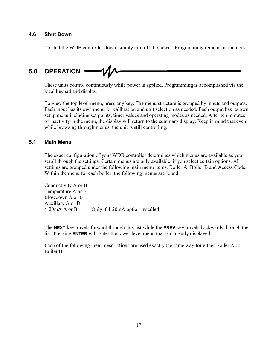#### **4.6 Shut Down**

To shut the WDB controller down, simply turn off the power. Programming remains in memory.

# **5.0 OPERATION**

These units control continuously while power is applied. Programming is accomplished via the local keypad and display.

To view the top level menu, press any key. The menu structure is grouped by inputs and outputs. Each input has its own menu for calibration and unit selection as needed. Each output has its own setup menu including set points, timer values and operating modes as needed. After ten minutes of inactivity in the menu, the display will return to the summary display. Keep in mind that even while browsing through menus, the unit is still controlling.

#### **5.1 Main Menu**

The exact configuration of your WDB controller determines which menus are available as you scroll through the settings. Certain menus are only available if you select certain options. All settings are grouped under the following main menu items: Boiler A, Boiler B and Access Code. Within the menu for each boiler, the following menus are found:

Conductivity A or B Temperature A or B Blowdown A or B Auxiliary A or B 4-20mA A or B Only if 4-20mA option installed

The **NEXT** key travels forward through this list while the **PREV** key travels backwards through the list. Pressing **ENTER** will Enter the lower level menu that is currently displayed.

Each of the following menu descriptions are used exactly the same way for either Boiler A or Boiler B.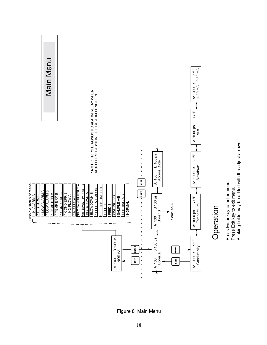

Figure 8 Main Menu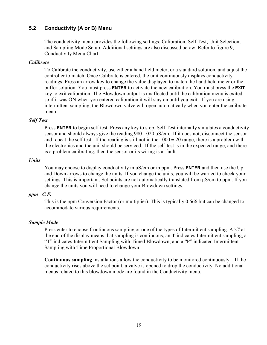#### **5.2 Conductivity (A or B) Menu**

The conductivity menu provides the following settings: Calibration, Self Test, Unit Selection, and Sampling Mode Setup. Additional settings are also discussed below. Refer to figure 9, Conductivity Menu Chart.

#### *Calibrate*

To Calibrate the conductivity, use either a hand held meter, or a standard solution, and adjust the controller to match. Once Calibrate is entered, the unit continuously displays conductivity readings. Press an arrow key to change the value displayed to match the hand held meter or the buffer solution. You must press **ENTER** to activate the new calibration. You must press the **EXIT** key to exit calibration. The Blowdown output is unaffected until the calibration menu is exited, so if it was ON when you entered calibration it will stay on until you exit. If you are using intermittent sampling, the Blowdown valve will open automatically when you enter the calibrate menu.

#### *Self Test*

Press **ENTER** to begin self test. Press any key to stop. Self Test internally simulates a conductivity sensor and should always give the reading 980-1020 µS/cm. If it does not, disconnect the sensor and repeat the self test. If the reading is still not in the  $1000 \pm 20$  range, there is a problem with the electronics and the unit should be serviced. If the self-test is in the expected range, and there is a problem calibrating, then the sensor or its wiring is at fault.

#### *Units*

You may choose to display conductivity in  $\mu$ S/cm or in ppm. Press **ENTER** and then use the Up and Down arrows to change the units. If you change the units, you will be warned to check your settings. This is important. Set points are not automatically translated from  $\mu$ S/cm to ppm. If you change the units you will need to change your Blowdown settings.

#### *ppm C.F.*

This is the ppm Conversion Factor (or multiplier). This is typically 0.666 but can be changed to accommodate various requirements.

#### *Sample Mode*

Press enter to choose Continuous sampling or one of the types of Intermittent sampling. A 'C' at the end of the display means that sampling is continuous, an 'I' indicates Intermittent sampling, a "T" indicates Intermittent Sampling with Timed Blowdown, and a "P" indicated Intermittent Sampling with Time Proportional Blowdown.

**Continuous sampling** installations allow the conductivity to be monitored continuously. If the conductivity rises above the set point, a valve is opened to drop the conductivity. No additional menus related to this blowdown mode are found in the Conductivity menu.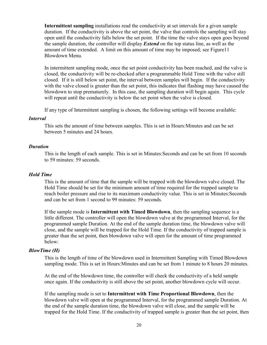**Intermittent sampling** installations read the conductivity at set intervals for a given sample duration. If the conductivity is above the set point, the valve that controls the sampling will stay open until the conductivity falls below the set point. If the time the valve stays open goes beyond the sample duration, the controller will display *Extend* on the top status line, as well as the amount of time extended. A limit on this amount of time may be imposed; see Figure11 Blowdown Menu.

In intermittent sampling mode, once the set point conductivity has been reached, and the valve is closed, the conductivity will be re-checked after a programmable Hold Time with the valve still closed. If it is still below set point, the interval between samples will begin. If the conductivity with the valve closed is greater than the set point, this indicates that flashing may have caused the blowdown to stop prematurely. In this case, the sampling duration will begin again. This cycle will repeat until the conductivity is below the set point when the valve is closed.

If any type of Intermittent sampling is chosen, the following settings will become available:

#### *Interval*

This sets the amount of time between samples. This is set in Hours:Minutes and can be set between 5 minutes and 24 hours.

#### *Duration*

This is the length of each sample. This is set in Minutes:Seconds and can be set from 10 seconds to 59 minutes: 59 seconds.

#### *Hold Time*

This is the amount of time that the sample will be trapped with the blowdown valve closed. The Hold Time should be set for the minimum amount of time required for the trapped sample to reach boiler pressure and rise to its maximum conductivity value. This is set in Minutes:Seconds and can be set from 1 second to 99 minutes: 59 seconds.

If the sample mode is **Intermittent with Timed Blowdown**, then the sampling sequence is a little different. The controller will open the blowdown valve at the programmed Interval, for the programmed sample Duration. At the end of the sample duration time, the blowdown valve will close, and the sample will be trapped for the Hold Time. If the conductivity of trapped sample is greater than the set point, then blowdown valve will open for the amount of time programmed below:

#### *BlowTime (H)*

This is the length of time of the blowdown used in Intermittent Sampling with Timed Blowdown sampling mode. This is set in Hours:Minutes and can be set from 1 minute to 8 hours 20 minutes.

At the end of the blowdown time, the controller will check the conductivity of a held sample once again. If the conductivity is still above the set point, another blowdown cycle will occur.

If the sampling mode is set to **Intermittent with Time Proportional Blowdown**, then the blowdown valve will open at the programmed Interval, for the programmed sample Duration. At the end of the sample duration time, the blowdown valve will close, and the sample will be trapped for the Hold Time. If the conductivity of trapped sample is greater than the set point, then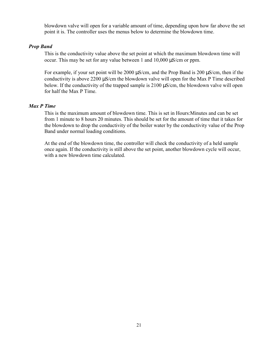blowdown valve will open for a variable amount of time, depending upon how far above the set point it is. The controller uses the menus below to determine the blowdown time.

#### *Prop Band*

This is the conductivity value above the set point at which the maximum blowdown time will occur. This may be set for any value between 1 and 10,000 µS/cm or ppm.

For example, if your set point will be 2000  $\mu$ S/cm, and the Prop Band is 200  $\mu$ S/cm, then if the conductivity is above 2200 µS/cm the blowdown valve will open for the Max P Time described below. If the conductivity of the trapped sample is 2100  $\mu$ S/cm, the blowdown valve will open for half the Max P Time.

#### *Max P Time*

This is the maximum amount of blowdown time. This is set in Hours:Minutes and can be set from 1 minute to 8 hours 20 minutes. This should be set for the amount of time that it takes for the blowdown to drop the conductivity of the boiler water by the conductivity value of the Prop Band under normal loading conditions.

At the end of the blowdown time, the controller will check the conductivity of a held sample once again. If the conductivity is still above the set point, another blowdown cycle will occur, with a new blowdown time calculated.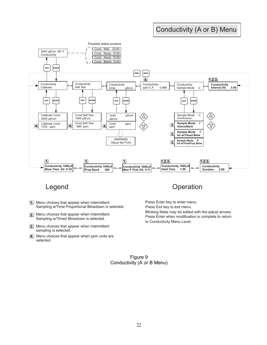## Conductivity (A or B) Menu



- **1.** Menu choices that appear when Intermittent Sampling w/Time Proportional Blowdown is selected.
- **2.** Menu choices that appear when Intermittent Sampling w/Timed Blowdown is selected.
- Menu choices that appear when intermittent **3.** sampling is selected.
- Menu choices that appear when ppm units are **4.** selected.

## Legend **Department Controller Controller** Controller Controller Controller Controller Controller Controller Controller Controller Controller Controller Controller Controller Controller Controller Controller Controller Cont

Press Enter key to enter menu. Press Exit key to exit menu. Blinking fields may be edited with the adjust arrows. Press Enter when modification is complete to return to Conductivity Menu Level.

Figure 9 Conductivity (A or B Menu)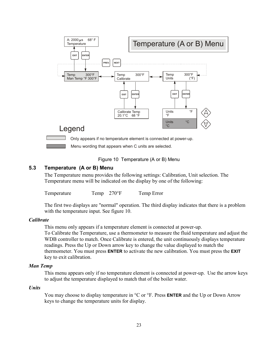

Figure 10 Temperature (A or B) Menu

#### **5.3 Temperature (A or B) Menu**

The Temperature menu provides the following settings: Calibration, Unit selection. The Temperature menu will be indicated on the display by one of the following:

Temperature Temp 270°F Temp Error

The first two displays are "normal" operation. The third display indicates that there is a problem with the temperature input. See figure 10.

#### *Calibrate*

This menu only appears if a temperature element is connected at power-up.

To Calibrate the Temperature, use a thermometer to measure the fluid temperature and adjust the WDB controller to match. Once Calibrate is entered, the unit continuously displays temperature readings. Press the Up or Down arrow key to change the value displayed to match the thermometer. You must press **ENTER** to activate the new calibration. You must press the **EXIT** key to exit calibration.

#### *Man Temp*

This menu appears only if no temperature element is connected at power-up. Use the arrow keys to adjust the temperature displayed to match that of the boiler water.

#### *Units*

You may choose to display temperature in °C or °F. Press **ENTER** and the Up or Down Arrow keys to change the temperature units for display.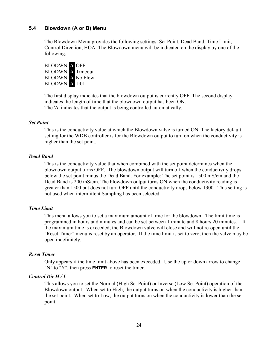#### **5.4 Blowdown (A or B) Menu**

The Blowdown Menu provides the following settings: Set Point, Dead Band, Time Limit, Control Direction, HOA. The Blowdown menu will be indicated on the display by one of the following:



The first display indicates that the blowdown output is currently OFF. The second display indicates the length of time that the blowdown output has been ON. The 'A' indicates that the output is being controlled automatically.

#### *Set Point*

This is the conductivity value at which the Blowdown valve is turned ON. The factory default setting for the WDB controller is for the Blowdown output to turn on when the conductivity is higher than the set point.

#### *Dead Band*

This is the conductivity value that when combined with the set point determines when the blowdown output turns OFF. The blowdown output will turn off when the conductivity drops below the set point minus the Dead Band. For example: The set point is 1500 mS/cm and the Dead Band is 200 mS/cm. The blowdown output turns ON when the conductivity reading is greater than 1500 but does not turn OFF until the conductivity drops below 1300. This setting is not used when intermittent Sampling has been selected.

#### *Time Limit*

This menu allows you to set a maximum amount of time for the blowdown. The limit time is programmed in hours and minutes and can be set between 1 minute and 8 hours 20 minutes. If the maximum time is exceeded, the Blowdown valve will close and will not re-open until the "Reset Timer" menu is reset by an operator. If the time limit is set to zero, then the valve may be open indefinitely.

#### *Reset Timer*

Only appears if the time limit above has been exceeded. Use the up or down arrow to change "N" to "Y", then press **ENTER** to reset the timer.

#### *Control Dir H / L*

This allows you to set the Normal (High Set Point) or Inverse (Low Set Point) operation of the Blowdown output. When set to High, the output turns on when the conductivity is higher than the set point. When set to Low, the output turns on when the conductivity is lower than the set point.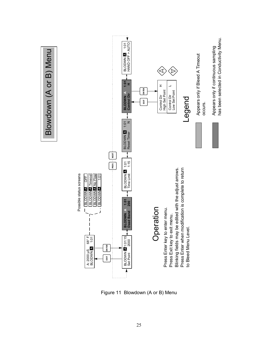

Figure 11 Blowdown (A or B) Menu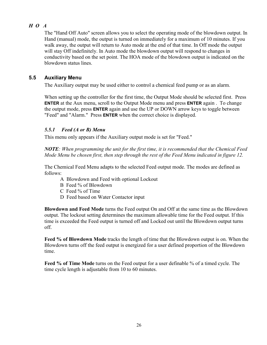### *H O A*

The "Hand Off Auto" screen allows you to select the operating mode of the blowdown output. In Hand (manual) mode, the output is turned on immediately for a maximum of 10 minutes. If you walk away, the output will return to Auto mode at the end of that time. In Off mode the output will stay Off indefinitely. In Auto mode the blowdown output will respond to changes in conductivity based on the set point. The HOA mode of the blowdown output is indicated on the blowdown status lines.

#### **5.5 Auxiliary Menu**

The Auxiliary output may be used either to control a chemical feed pump or as an alarm.

When setting up the controller for the first time, the Output Mode should be selected first. Press **ENTER** at the Aux menu, scroll to the Output Mode menu and press **ENTER** again . To change the output mode, press **ENTER** again and use the UP or DOWN arrow keys to toggle between "Feed" and "Alarm." Press **ENTER** when the correct choice is displayed.

#### *5.5.1 Feed (A or B) Menu*

This menu only appears if the Auxiliary output mode is set for "Feed."

*NOTE: When programming the unit for the first time, it is recommended that the Chemical Feed Mode Menu be chosen first, then step through the rest of the Feed Menu indicated in figure 12.* 

The Chemical Feed Menu adapts to the selected Feed output mode. The modes are defined as follows:

- A Blowdown and Feed with optional Lockout
- B Feed % of Blowdown
- C Feed % of Time
- D Feed based on Water Contactor input

**Blowdown and Feed Mode** turns the Feed output On and Off at the same time as the Blowdown output. The lockout setting determines the maximum allowable time for the Feed output. If this time is exceeded the Feed output is turned off and Locked out until the Blowdown output turns off.

**Feed % of Blowdown Mode** tracks the length of time that the Blowdown output is on. When the Blowdown turns off the feed output is energized for a user defined proportion of the Blowdown time.

**Feed % of Time Mode** turns on the Feed output for a user definable % of a timed cycle. The time cycle length is adjustable from 10 to 60 minutes.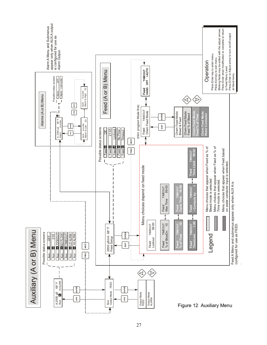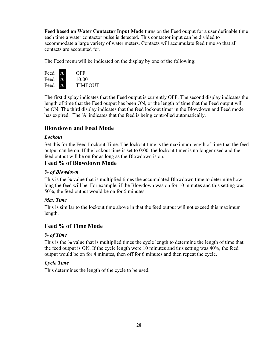**Feed based on Water Contactor Input Mode** turns on the Feed output for a user definable time each time a water contactor pulse is detected. This contactor input can be divided to accommodate a large variety of water meters. Contacts will accumulate feed time so that all contacts are accounted for.

The Feed menu will be indicated on the display by one of the following:



The first display indicates that the Feed output is currently OFF. The second display indicates the length of time that the Feed output has been ON, or the length of time that the Feed output will be ON. The third display indicates that the feed lockout timer in the Blowdown and Feed mode has expired. The 'A' indicates that the feed is being controlled automatically.

## **Blowdown and Feed Mode**

#### *Lockout*

Set this for the Feed Lockout Time. The lockout time is the maximum length of time that the feed output can be on. If the lockout time is set to 0:00, the lockout timer is no longer used and the feed output will be on for as long as the Blowdown is on.

## **Feed % of Blowdown Mode**

#### *% of Blowdown*

This is the % value that is multiplied times the accumulated Blowdown time to determine how long the feed will be. For example, if the Blowdown was on for 10 minutes and this setting was 50%, the feed output would be on for 5 minutes.

#### *Max Time*

This is similar to the lockout time above in that the feed output will not exceed this maximum length.

## **Feed % of Time Mode**

#### *% of Time*

This is the % value that is multiplied times the cycle length to determine the length of time that the feed output is ON. If the cycle length were 10 minutes and this setting was 40%, the feed output would be on for 4 minutes, then off for 6 minutes and then repeat the cycle.

#### *Cycle Time*

This determines the length of the cycle to be used.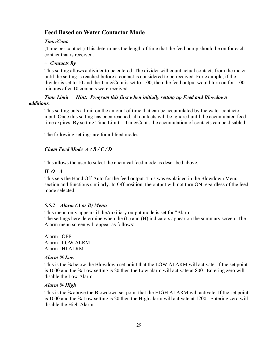## **Feed Based on Water Contactor Mode**

#### *Time/Cont.*

(Time per contact.) This determines the length of time that the feed pump should be on for each contact that is received.

#### *˜ Contacts By*

This setting allows a divider to be entered. The divider will count actual contacts from the meter until the setting is reached before a contact is considered to be received. For example, if the divider is set to 10 and the Time/Cont is set to 5:00, then the feed output would turn on for 5:00 minutes after 10 contacts were received.

#### *Time Limit Hint: Program this first when initially setting up Feed and Blowdown additions.*

This setting puts a limit on the amount of time that can be accumulated by the water contactor input. Once this setting has been reached, all contacts will be ignored until the accumulated feed time expires. By setting Time Limit = Time/Cont., the accumulation of contacts can be disabled.

The following settings are for all feed modes.

#### *Chem Feed Mode A / B / C / D*

This allows the user to select the chemical feed mode as described above.

#### *H O A*

This sets the Hand Off Auto for the feed output. This was explained in the Blowdown Menu section and functions similarly. In Off position, the output will not turn ON regardless of the feed mode selected.

#### *5.5.2 Alarm (A or B) Menu*

This menu only appears if theAuxiliary output mode is set for "Alarm" The settings here determine when the (L) and (H) indicators appear on the summary screen. The Alarm menu screen will appear as follows:

Alarm OFF Alarm LOW ALRM Alarm HI ALRM

#### *Alarm % Low*

This is the % below the Blowdown set point that the LOW ALARM will activate. If the set point is 1000 and the % Low setting is 20 then the Low alarm will activate at 800. Entering zero will disable the Low Alarm.

#### *Alarm % High*

This is the % above the Blowdown set point that the HIGH ALARM will activate. If the set point is 1000 and the % Low setting is 20 then the High alarm will activate at 1200. Entering zero will disable the High Alarm.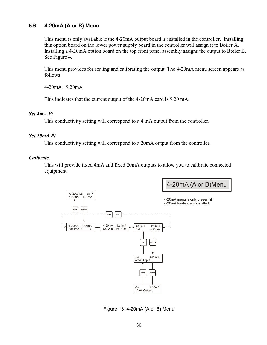#### **5.6 4-20mA (A or B) Menu**

This menu is only available if the 4-20mA output board is installed in the controller. Installing this option board on the lower power supply board in the controller will assign it to Boiler A. Installing a 4-20mA option board on the top front panel assembly assigns the output to Boiler B. See Figure 4.

This menu provides for scaling and calibrating the output. The 4-20mA menu screen appears as follows:

4-20mA 9.20mA

This indicates that the current output of the 4-20mA card is 9.20 mA.

#### *Set 4mA Pt*

This conductivity setting will correspond to a 4 mA output from the controller.

#### *Set 20mA Pt*

This conductivity setting will correspond to a 20mA output from the controller.

#### *Calibrate*

This will provide fixed 4mA and fixed 20mA outputs to allow you to calibrate connected equipment.



Figure 13 4-20mA (A or B) Menu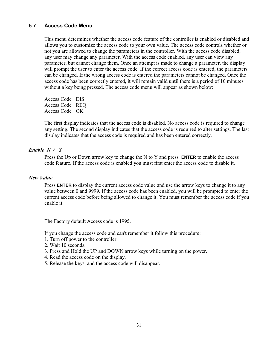#### **5.7 Access Code Menu**

This menu determines whether the access code feature of the controller is enabled or disabled and allows you to customize the access code to your own value. The access code controls whether or not you are allowed to change the parameters in the controller. With the access code disabled, any user may change any parameter. With the access code enabled, any user can view any parameter, but cannot change them. Once an attempt is made to change a parameter, the display will prompt the user to enter the access code. If the correct access code is entered, the parameters can be changed. If the wrong access code is entered the parameters cannot be changed. Once the access code has been correctly entered, it will remain valid until there is a period of 10 minutes without a key being pressed. The access code menu will appear as shown below:

Access Code DIS Access Code REQ Access Code OK

The first display indicates that the access code is disabled. No access code is required to change any setting. The second display indicates that the access code is required to alter settings. The last display indicates that the access code is required and has been entered correctly.

#### *Enable N / Y*

Press the Up or Down arrow key to change the N to Y and press **ENTER** to enable the access code feature. If the access code is enabled you must first enter the access code to disable it.

#### *New Value*

Press **ENTER** to display the current access code value and use the arrow keys to change it to any value between 0 and 9999. If the access code has been enabled, you will be prompted to enter the current access code before being allowed to change it. You must remember the access code if you enable it.

The Factory default Access code is 1995.

If you change the access code and can't remember it follow this procedure:

- 1. Turn off power to the controller.
- 2. Wait 10 seconds.
- 3. Press and Hold the UP and DOWN arrow keys while turning on the power.
- 4. Read the access code on the display.
- 5. Release the keys, and the access code will disappear.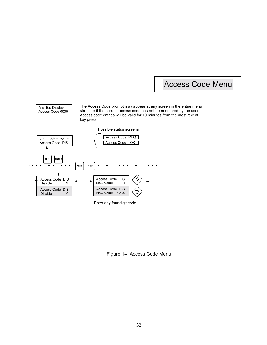## Access Code Menu

Any Top Display Access Code 0000

The Access Code prompt may appear at any screen in the entire menu structure if the current access code has not been entered by the user. Access code entries will be valid for 10 minutes from the most recent key press.



Enter any four digit code

Figure 14 Access Code Menu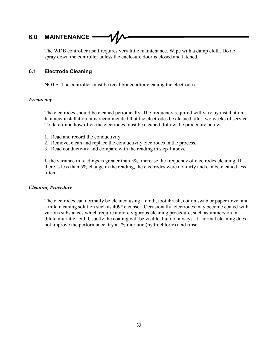## **6.0 MAINTENANCE**

The WDB controller itself requires very little maintenance. Wipe with a damp cloth. Do not spray down the controller unless the enclosure door is closed and latched.

#### **6.1 Electrode Cleaning**

NOTE: The controller must be recalibrated after cleaning the electrodes.

#### *Frequency*

The electrodes should be cleaned periodically. The frequency required will vary by installation. In a new installation, it is recommended that the electrodes be cleaned after two weeks of service. To determine how often the electrodes must be cleaned, follow the procedure below.

- 1. Read and record the conductivity.
- 2. Remove, clean and replace the conductivity electrodes in the process.
- 3. Read conductivity and compare with the reading in step 1 above.

If the variance in readings is greater than 5%, increase the frequency of electrodes cleaning. If there is less than 5% change in the reading, the electrodes were not dirty and can be cleaned less often.

#### *Cleaning Procedure*

The electrodes can normally be cleaned using a cloth, toothbrush, cotton swab or paper towel and a mild cleaning solution such as  $409^{\circ}$  cleanser. Occasionally electrodes may become coated with various substances which require a more vigorous cleaning procedure, such as immersion in dilute muriatic acid. Usually the coating will be visible, but not always. If normal cleaning does not improve the performance, try a 1% muriatic (hydrochloric) acid rinse.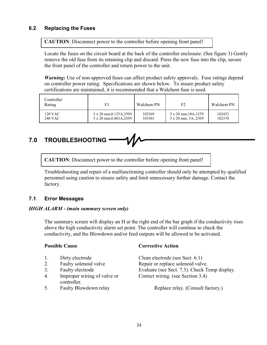#### **6.2 Replacing the Fuses**

**CAUTION**: Disconnect power to the controller before opening front panel!

Locate the fuses on the circuit board at the back of the controller enclosure. (See figure 3) Gently remove the old fuse from its retaining clip and discard. Press the new fuse into the clip, secure the front panel of the controller and return power to the unit.

*Warning*: Use of non-approved fuses can affect product safety approvals. Fuse ratings depend on controller power rating. Specifications are shown below. To insure product safety certifications are maintained, it is recommended that a Walchem fuse is used.

| Controller<br>Rating | F1                             | Walchem PN | F <sub>2</sub>       | Walchem PN |
|----------------------|--------------------------------|------------|----------------------|------------|
| 120 VAC              | $5 \times 20$ mm, 0.125A, 250V | 102369     | 5 x 20 mm, 10A, 125V | 102432     |
| 240 VAC              | 5 x 20 mm, 0.063A, 250V        | 103363     | 5 x 20 mm, 5A, 250V  | 102370     |

## **7.0 TROUBLESHOOTING**

**CAUTION**: Disconnect power to the controller before opening front panel!

Troubleshooting and repair of a malfunctioning controller should only be attempted by qualified personnel using caution to ensure safety and limit unnecessary further damage. Contact the factory.

## **7.1 Error Messages**

#### *HIGH ALARM - (main summary screen only)*

The summary screen will display an H at the right end of the bar graph if the conductivity rises above the high conductivity alarm set point. The controller will continue to check the conductivity, and the Blowdown and/or feed outputs will be allowed to be activated.

| <b>Possible Cause</b> |                                            | <b>Corrective Action</b>                      |  |
|-----------------------|--------------------------------------------|-----------------------------------------------|--|
| 1.                    | Dirty electrode                            | Clean electrode (see Sect. 6.1)               |  |
| 2.                    | Faulty solenoid valve                      | Repair or replace solenoid valve.             |  |
| 3.                    | Faulty electrode                           | Evaluate (see Sect. 7.3). Check Temp display. |  |
| 4.                    | Improper wiring of valve or<br>controller. | Correct wiring. (see Section 3.4)             |  |
| 5.                    | Faulty Blowdown relay                      | Replace relay. (Consult factory.)             |  |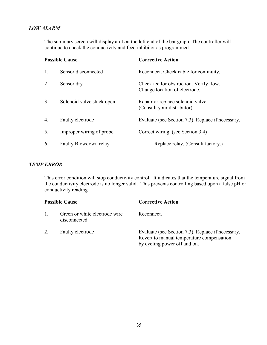#### *LOW ALARM*

The summary screen will display an L at the left end of the bar graph. The controller will continue to check the conductivity and feed inhibitor as programmed.

| <b>Possible Cause</b> |                           | <b>Corrective Action</b>                                                 |  |
|-----------------------|---------------------------|--------------------------------------------------------------------------|--|
| 1.                    | Sensor disconnected       | Reconnect. Check cable for continuity.                                   |  |
| 2.                    | Sensor dry                | Check tee for obstruction. Verify flow.<br>Change location of electrode. |  |
| 3.                    | Solenoid valve stuck open | Repair or replace solenoid valve.<br>(Consult your distributor).         |  |
| 4.                    | Faulty electrode          | Evaluate (see Section 7.3). Replace if necessary.                        |  |
| 5.                    | Improper wiring of probe  | Correct wiring. (see Section 3.4)                                        |  |
| 6.                    | Faulty Blowdown relay     | Replace relay. (Consult factory.)                                        |  |

#### *TEMP ERROR*

This error condition will stop conductivity control. It indicates that the temperature signal from the conductivity electrode is no longer valid. This prevents controlling based upon a false pH or conductivity reading.

| <b>Possible Cause</b> |                                                | <b>Corrective Action</b>                                                                                                       |
|-----------------------|------------------------------------------------|--------------------------------------------------------------------------------------------------------------------------------|
|                       | Green or white electrode wire<br>disconnected. | Reconnect.                                                                                                                     |
|                       | Faulty electrode                               | Evaluate (see Section 7.3). Replace if necessary.<br>Revert to manual temperature compensation<br>by cycling power off and on. |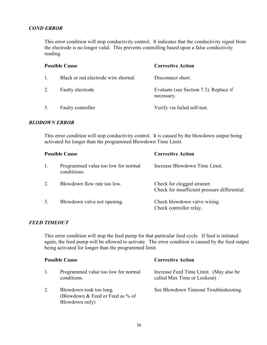#### *COND ERROR*

This error condition will stop conductivity control. It indicates that the conductivity signal from the electrode is no longer valid. This prevents controlling based upon a false conductivity reading.

| <b>Possible Cause</b> |                                      | <b>Corrective Action</b>                             |
|-----------------------|--------------------------------------|------------------------------------------------------|
| $\mathbf{1}$ .        | Black or red electrode wire shorted. | Disconnect short.                                    |
| 2.                    | Faulty electrode                     | Evaluate (see Section 7.3). Replace if<br>necessary. |
| 3.                    | Faulty controller                    | Verify via failed self-test.                         |

#### *BLODOWN ERROR*

This error condition will stop conductivity control. It is caused by the blowdown output being activated for longer than the programmed Blowdown Time Limit.

| <b>Possible Cause</b> |                                                    | <b>Corrective Action</b>                                                     |
|-----------------------|----------------------------------------------------|------------------------------------------------------------------------------|
|                       | Programmed value too low for normal<br>conditions. | Increase Blowdown Time Limit.                                                |
| $\mathcal{D}$         | Blowdown flow rate too low.                        | Check for clogged strainer.<br>Check for insufficient pressure differential. |
| 3.                    | Blowdown valve not opening.                        | Check blowdown valve wiring.<br>Check controller relay.                      |

#### *FEED TIMEOUT*

Blowdown only)

This error condition will stop the feed pump for that particular feed cycle. If feed is initiated again, the feed pump will be allowed to activate. The error condition is caused by the feed output being activated for longer than the programmed limit.

|  | 1 USSIDIU UAUSU                                             | VAILLEURE AUUIL                                                       |
|--|-------------------------------------------------------------|-----------------------------------------------------------------------|
|  | Programmed value too low for normal<br>conditions.          | Increase Feed Time Limit. (May also be<br>called Max Time or Lockout) |
|  | Blowdown took too long.<br>(Blowdown & Feed or Feed as % of | See Blowdown Timeout Troubleshooting.                                 |

**Possible Cause Corrective Action**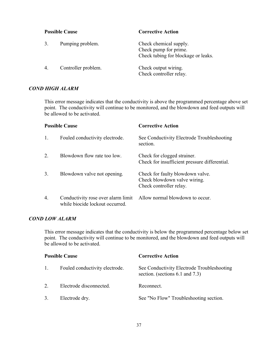| <b>Possible Cause</b> |                     | <b>Corrective Action</b>                                                               |  |
|-----------------------|---------------------|----------------------------------------------------------------------------------------|--|
|                       | Pumping problem.    | Check chemical supply.<br>Check pump for prime.<br>Check tubing for blockage or leaks. |  |
|                       | Controller problem. | Check output wiring.<br>Check controller relay.                                        |  |

#### *COND HIGH ALARM*

This error message indicates that the conductivity is above the programmed percentage above set point. The conductivity will continue to be monitored, and the blowdown and feed outputs will be allowed to be activated.

|    | <b>Possible Cause</b>                                                 | <b>Corrective Action</b>                                                                    |
|----|-----------------------------------------------------------------------|---------------------------------------------------------------------------------------------|
| 1. | Fouled conductivity electrode.                                        | See Conductivity Electrode Troubleshooting<br>section.                                      |
| 2. | Blowdown flow rate too low.                                           | Check for clogged strainer.<br>Check for insufficient pressure differential.                |
| 3. | Blowdown valve not opening.                                           | Check for faulty blowdown valve.<br>Check blowdown valve wiring.<br>Check controller relay. |
| 4. | Conductivity rose over alarm limit<br>while biocide lockout occurred. | Allow normal blowdown to occur.                                                             |

#### *COND LOW ALARM*

This error message indicates that the conductivity is below the programmed percentage below set point. The conductivity will continue to be monitored, and the blowdown and feed outputs will be allowed to be activated.

| <b>Possible Cause</b> |                                | <b>Corrective Action</b>                                                           |  |
|-----------------------|--------------------------------|------------------------------------------------------------------------------------|--|
|                       | Fouled conductivity electrode. | See Conductivity Electrode Troubleshooting<br>section. (sections $6.1$ and $7.3$ ) |  |
| 2.                    | Electrode disconnected.        | Reconnect.                                                                         |  |
| 3.                    | Electrode dry.                 | See "No Flow" Troubleshooting section.                                             |  |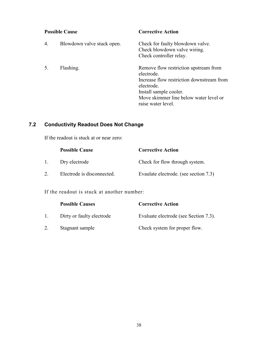| <b>Possible Cause</b> |                            | <b>Corrective Action</b>                                                                                                                                                                                 |
|-----------------------|----------------------------|----------------------------------------------------------------------------------------------------------------------------------------------------------------------------------------------------------|
| 4.                    | Blowdown valve stuck open. | Check for faulty blowdown valve.<br>Check blowdown valve wiring.<br>Check controller relay.                                                                                                              |
|                       | Flashing.                  | Remove flow restriction upstream from<br>electrode.<br>Increase flow restriction downstream from<br>electrode.<br>Install sample cooler.<br>Move skimmer line below water level or<br>raise water level. |

## **7.2 Conductivity Readout Does Not Change**

If the readout is stuck at or near zero:

|                | <b>Possible Cause</b>      | <b>Corrective Action</b>              |
|----------------|----------------------------|---------------------------------------|
| $\mathbf{1}$ . | Dry electrode              | Check for flow through system.        |
|                | Electrode is disconnected. | Evaulate electrode. (see section 7.3) |

If the readout is stuck at another number:

|              | <b>Possible Causes</b>    | <b>Corrective Action</b>              |
|--------------|---------------------------|---------------------------------------|
| $\mathbf{L}$ | Dirty or faulty electrode | Evaluate electrode (see Section 7.3). |
|              | Stagnant sample           | Check system for proper flow.         |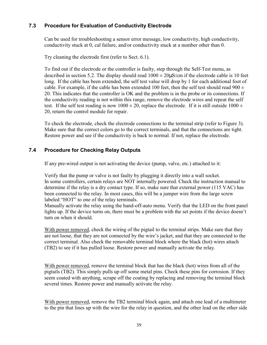#### **7.3 Procedure for Evaluation of Conductivity Electrode**

Can be used for troubleshooting a sensor error message, low conductivity, high conductivity, conductivity stuck at 0, cal failure, and/or conductivity stuck at a number other than 0.

Try cleaning the electrode first (refer to Sect. 6.1).

To find out if the electrode or the controller is faulty, step through the Self-Test menu, as described in section 5.2. The display should read  $1000 \pm 20 \mu$ S/cm if the electrode cable is 10 feet long. If the cable has been extended, the self test value will drop by 1 for each additional foot of cable. For example, if the cable has benn extended 100 feet, then the self test should read  $900 \pm$ 20. This indicates that the controller is OK and the problem is in the probe or its connections. If the conductivity reading is not within this range, remove the electrode wires and repeat the self test. If the self test reading is now  $1000 \pm 20$ , replace the electrode. If it is still outside  $1000 \pm 20$ 20, return the control module for repair.

To check the electrode, check the electrode connections to the terminal strip (refer to Figure 3). Make sure that the correct colors go to the correct terminals, and that the connections are tight. Restore power and see if the conductivity is back to normal. If not, replace the electrode.

#### **7.4 Procedure for Checking Relay Outputs**

If any pre-wired output is not activating the device (pump, valve, etc.) attached to it:

Verify that the pump or valve is not faulty by plugging it directly into a wall socket. In some controllers, certain relays are NOT internally powered. Check the instruction manual to determine if the relay is a dry contact type. If so, make sure that external power (115 VAC) has been connected to the relay. In most cases, this will be a jumper wire from the large screw labeled "HOT" to one of the relay terminals.

Manually activate the relay using the hand-off-auto menu. Verify that the LED on the front panel lights up. If the device turns on, there must be a problem with the set points if the device doesn't turn on when it should.

With power removed, check the wiring of the pigtail to the terminal strips. Make sure that they are not loose, that they are not connected by the wire's jacket, and that they are connected to the correct terminal. Also check the removable terminal block where the black (hot) wires attach (TB2) to see if it has pulled loose. Restore power and manually activate the relay.

With power removed, remove the terminal block that has the black (hot) wires from all of the pigtails (TB2). This simply pulls up off some metal pins. Check these pins for corrosion. If they seem coated with anything, scrape off the coating by replacing and removing the terminal block several times. Restore power and manually activate the relay.

With power removed, remove the TB2 terminal block again, and attach one lead of a multimeter to the pin that lines up with the wire for the relay in question, and the other lead on the other side